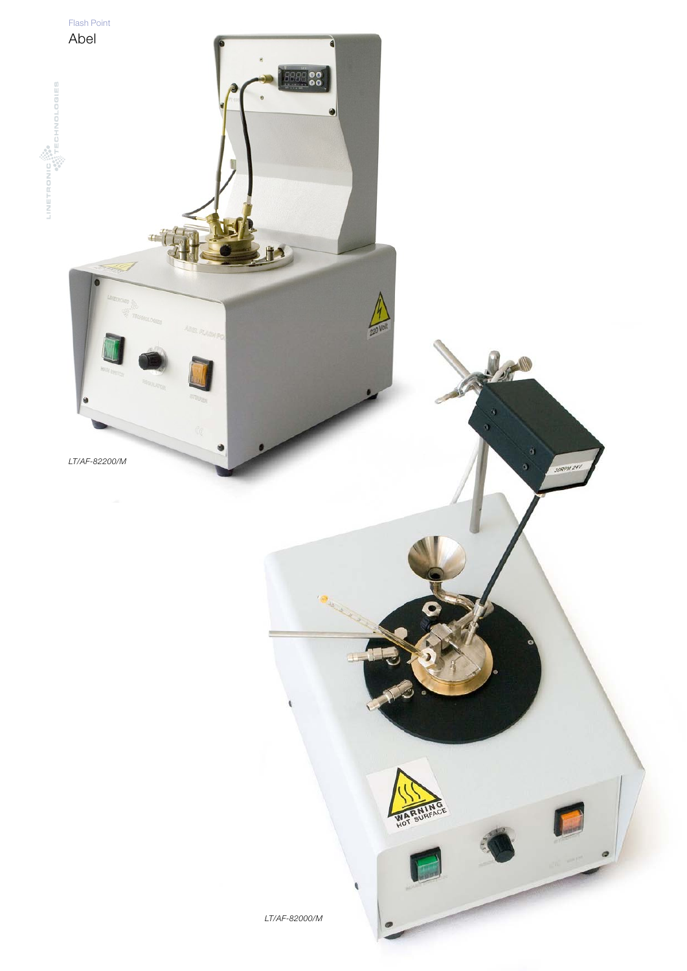